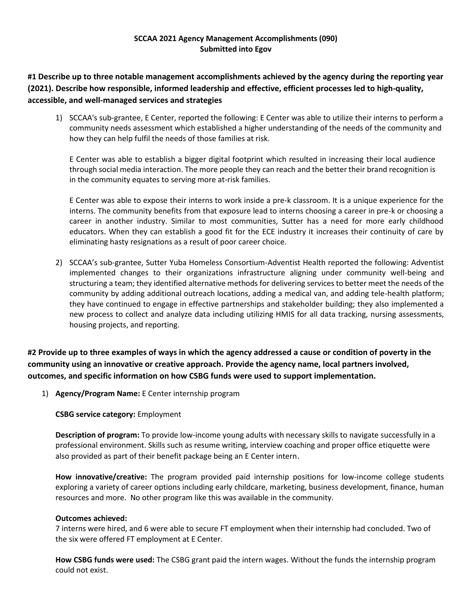# **SCCAA 2021 Agency Management Accomplishments (090) Submitted into Egov**

**#1 Describe up to three notable management accomplishments achieved by the agency during the reporting year (2021). Describe how responsible, informed leadership and effective, efficient processes led to high‐quality, accessible, and well‐managed services and strategies**

1) SCCAA's sub-grantee, E Center, reported the following: E Center was able to utilize their interns to perform a community needs assessment which established a higher understanding of the needs of the community and how they can help fulfil the needs of those families at risk.

E Center was able to establish a bigger digital footprint which resulted in increasing their local audience through social media interaction. The more people they can reach and the better their brand recognition is in the community equates to serving more at-risk families.

E Center was able to expose their interns to work inside a pre-k classroom. It is a unique experience for the interns. The community benefits from that exposure lead to interns choosing a career in pre-k or choosing a career in another industry. Similar to most communities, Sutter has a need for more early childhood educators. When they can establish a good fit for the ECE industry it increases their continuity of care by eliminating hasty resignations as a result of poor career choice.

2) SCCAA's sub-grantee, Sutter Yuba Homeless Consortium-Adventist Health reported the following: Adventist implemented changes to their organizations infrastructure aligning under community well-being and structuring a team; they identified alternative methods for delivering services to better meet the needs of the community by adding additional outreach locations, adding a medical van, and adding tele-health platform; they have continued to engage in effective partnerships and stakeholder building; they also implemented a new process to collect and analyze data including utilizing HMIS for all data tracking, nursing assessments, housing projects, and reporting.

**#2 Provide up to three examples of ways in which the agency addressed a cause or condition of poverty in the community using an innovative or creative approach. Provide the agency name, local partners involved, outcomes, and specific information on how CSBG funds were used to support implementation.**

1) **Agency/Program Name:** E Center internship program

**CSBG service category:** Employment

**Description of program:** To provide low-income young adults with necessary skills to navigate successfully in a professional environment. Skills such as resume writing, interview coaching and proper office etiquette were also provided as part of their benefit package being an E Center intern.

**How innovative/creative:** The program provided paid internship positions for low-income college students exploring a variety of career options including early childcare, marketing, business development, finance, human resources and more. No other program like this was available in the community.

# **Outcomes achieved:**

7 interns were hired, and 6 were able to secure FT employment when their internship had concluded. Two of the six were offered FT employment at E Center.

**How CSBG funds were used:** The CSBG grant paid the intern wages. Without the funds the internship program could not exist.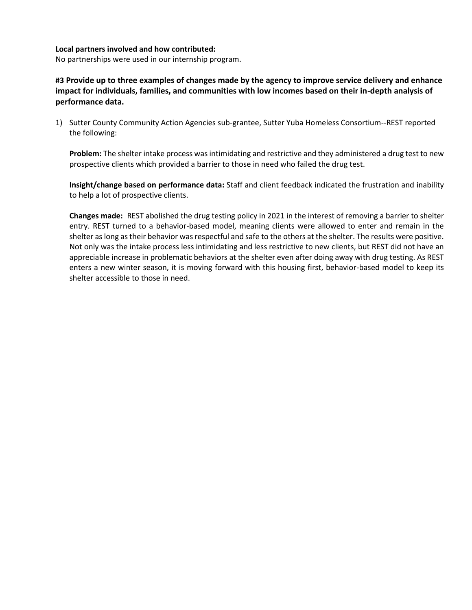### **Local partners involved and how contributed:**

No partnerships were used in our internship program.

**#3 Provide up to three examples of changes made by the agency to improve service delivery and enhance impact for individuals, families, and communities with low incomes based on their in-depth analysis of performance data.**

1) Sutter County Community Action Agencies sub-grantee, Sutter Yuba Homeless Consortium--REST reported the following:

**Problem:** The shelter intake process was intimidating and restrictive and they administered a drug test to new prospective clients which provided a barrier to those in need who failed the drug test.

**Insight/change based on performance data:** Staff and client feedback indicated the frustration and inability to help a lot of prospective clients.

**Changes made:** REST abolished the drug testing policy in 2021 in the interest of removing a barrier to shelter entry. REST turned to a behavior-based model, meaning clients were allowed to enter and remain in the shelter as long as their behavior was respectful and safe to the others at the shelter. The results were positive. Not only was the intake process less intimidating and less restrictive to new clients, but REST did not have an appreciable increase in problematic behaviors at the shelter even after doing away with drug testing. As REST enters a new winter season, it is moving forward with this housing first, behavior-based model to keep its shelter accessible to those in need.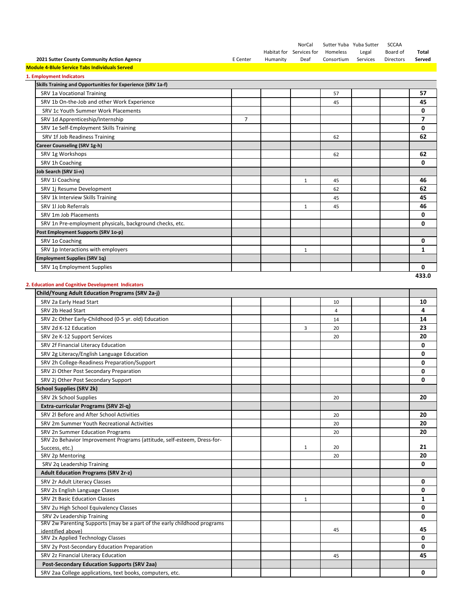|                                                                                               |                |          | NorCal<br>Habitat for Services for | Sutter Yuba Yuba Sutter<br>Homeless | Legal    | <b>SCCAA</b><br>Board of | Total  |
|-----------------------------------------------------------------------------------------------|----------------|----------|------------------------------------|-------------------------------------|----------|--------------------------|--------|
| 2021 Sutter County Community Action Agency                                                    | E Center       | Humanity | Deaf                               | Consortium                          | Services | Directors                | Served |
| <b>Module 4-Blule Service Tabs Individuals Served</b>                                         |                |          |                                    |                                     |          |                          |        |
| 1. Employment Indicators                                                                      |                |          |                                    |                                     |          |                          |        |
| Skills Training and Opportunities for Experience (SRV 1a-f)                                   |                |          |                                    |                                     |          |                          |        |
| SRV 1a Vocational Training                                                                    |                |          |                                    | 57                                  |          |                          | 57     |
| SRV 1b On-the-Job and other Work Experience                                                   |                |          |                                    | 45                                  |          |                          | 45     |
| SRV 1c Youth Summer Work Placements                                                           |                |          |                                    |                                     |          |                          | 0      |
| SRV 1d Apprenticeship/Internship                                                              | $\overline{7}$ |          |                                    |                                     |          |                          | 7      |
| SRV 1e Self-Employment Skills Training                                                        |                |          |                                    |                                     |          |                          | 0      |
| SRV 1f Job Readiness Training                                                                 |                |          |                                    | 62                                  |          |                          | 62     |
| Career Counseling (SRV 1g-h)                                                                  |                |          |                                    |                                     |          |                          |        |
| SRV 1g Workshops                                                                              |                |          |                                    | 62                                  |          |                          | 62     |
| SRV 1h Coaching                                                                               |                |          |                                    |                                     |          |                          | 0      |
| Job Search (SRV 1i-n)                                                                         |                |          |                                    |                                     |          |                          |        |
| SRV 1i Coaching                                                                               |                |          | $\mathbf{1}$                       | 45                                  |          |                          | 46     |
| SRV 1j Resume Development                                                                     |                |          |                                    | 62                                  |          |                          | 62     |
| SRV 1k Interview Skills Training                                                              |                |          |                                    | 45                                  |          |                          | 45     |
| SRV 1l Job Referrals                                                                          |                |          | 1                                  | 45                                  |          |                          | 46     |
| SRV 1m Job Placements                                                                         |                |          |                                    |                                     |          |                          | 0      |
| SRV 1n Pre-employment physicals, background checks, etc.                                      |                |          |                                    |                                     |          |                          | 0      |
| Post Employment Supports (SRV 1o-p)                                                           |                |          |                                    |                                     |          |                          |        |
| SRV 1o Coaching                                                                               |                |          |                                    |                                     |          |                          | 0      |
| SRV 1p Interactions with employers                                                            |                |          | 1                                  |                                     |          |                          | 1      |
| <b>Employment Supplies (SRV 1q)</b>                                                           |                |          |                                    |                                     |          |                          |        |
| SRV 1q Employment Supplies                                                                    |                |          |                                    |                                     |          |                          | 0      |
|                                                                                               |                |          |                                    |                                     |          |                          | 433.0  |
| 2. Education and Cognitive Development Indicators                                             |                |          |                                    |                                     |          |                          |        |
| Child/Young Adult Education Programs (SRV 2a-j)                                               |                |          |                                    |                                     |          |                          |        |
| SRV 2a Early Head Start                                                                       |                |          |                                    | 10                                  |          |                          | 10     |
| SRV 2b Head Start                                                                             |                |          |                                    | 4                                   |          |                          | 4      |
| SRV 2c Other Early-Childhood (0-5 yr. old) Education                                          |                |          |                                    | 14                                  |          |                          | 14     |
| SRV 2d K-12 Education                                                                         |                |          | 3                                  | 20                                  |          |                          | 23     |
| SRV 2e K-12 Support Services                                                                  |                |          |                                    | 20                                  |          |                          | 20     |
| SRV 2f Financial Literacy Education                                                           |                |          |                                    |                                     |          |                          | 0      |
| SRV 2g Literacy/English Language Education                                                    |                |          |                                    |                                     |          |                          | 0      |
| SRV 2h College-Readiness Preparation/Support                                                  |                |          |                                    |                                     |          |                          | 0      |
| SRV 2i Other Post Secondary Preparation                                                       |                |          |                                    |                                     |          |                          | 0      |
| SRV 2j Other Post Secondary Support                                                           |                |          |                                    |                                     |          |                          | 0      |
| <b>School Supplies (SRV 2k)</b>                                                               |                |          |                                    |                                     |          |                          |        |
|                                                                                               |                |          |                                    |                                     |          |                          |        |
| SRV 2k School Supplies                                                                        |                |          |                                    | 20                                  |          |                          | 20     |
| Extra-curricular Programs (SRV 2l-q)                                                          |                |          |                                    |                                     |          |                          |        |
| SRV 2l Before and After School Activities                                                     |                |          |                                    | 20                                  |          |                          | 20     |
| SRV 2m Summer Youth Recreational Activities                                                   |                |          |                                    | 20                                  |          |                          | 20     |
| SRV 2n Summer Education Programs                                                              |                |          |                                    | 20                                  |          |                          | 20     |
| SRV 2o Behavior Improvement Programs (attitude, self-esteem, Dress-for-                       |                |          | $\mathbf{1}$                       | 20                                  |          |                          | 21     |
| Success, etc.)<br>SRV 2p Mentoring                                                            |                |          |                                    | 20                                  |          |                          | 20     |
|                                                                                               |                |          |                                    |                                     |          |                          | 0      |
| SRV 2q Leadership Training<br><b>Adult Education Programs (SRV 2r-z)</b>                      |                |          |                                    |                                     |          |                          |        |
|                                                                                               |                |          |                                    |                                     |          |                          |        |
| SRV 2r Adult Literacy Classes                                                                 |                |          |                                    |                                     |          |                          | 0      |
| SRV 2s English Language Classes                                                               |                |          |                                    |                                     |          |                          | 0      |
| SRV 2t Basic Education Classes                                                                |                |          | $\mathbf{1}$                       |                                     |          |                          | 1      |
| SRV 2u High School Equivalency Classes                                                        |                |          |                                    |                                     |          |                          | 0      |
| SRV 2v Leadership Training                                                                    |                |          |                                    |                                     |          |                          | 0      |
| SRV 2w Parenting Supports (may be a part of the early childhood programs<br>identified above) |                |          |                                    | 45                                  |          |                          | 45     |
| SRV 2x Applied Technology Classes                                                             |                |          |                                    |                                     |          |                          | 0      |
| SRV 2y Post-Secondary Education Preparation                                                   |                |          |                                    |                                     |          |                          | 0      |
| SRV 2z Financial Literacy Education                                                           |                |          |                                    | 45                                  |          |                          | 45     |
| <b>Post-Secondary Education Supports (SRV 2aa)</b>                                            |                |          |                                    |                                     |          |                          |        |
| SRV 2aa College applications, text books, computers, etc.                                     |                |          |                                    |                                     |          |                          | 0      |
|                                                                                               |                |          |                                    |                                     |          |                          |        |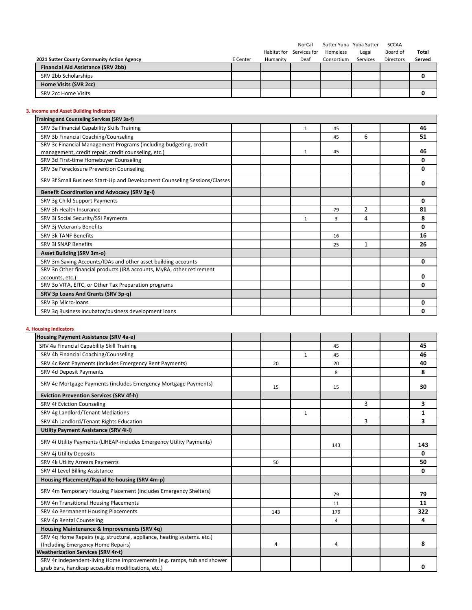|                                            |          |             | NorCal       | Sutter Yuba Yuba Sutter |          | <b>SCCAA</b>     |        |
|--------------------------------------------|----------|-------------|--------------|-------------------------|----------|------------------|--------|
|                                            |          | Habitat for | Services for | Homeless                | Legal    | Board of         | Total  |
| 2021 Sutter County Community Action Agency | E Center | Humanity    | Deaf         | Consortium              | Services | <b>Directors</b> | Served |
| Financial Aid Assistance (SRV 2bb)         |          |             |              |                         |          |                  |        |
| SRV 2bb Scholarships                       |          |             |              |                         |          |                  |        |
| Home Visits (SVR 2cc)                      |          |             |              |                         |          |                  |        |
| SRV 2cc Home Visits                        |          |             |              |                         |          |                  |        |

# **3. Income and Asset Building Indicators**

| Training and Counseling Services (SRV 3a-f)                                |  |              |    |                |              |
|----------------------------------------------------------------------------|--|--------------|----|----------------|--------------|
| SRV 3a Financial Capability Skills Training                                |  | $\mathbf{1}$ | 45 |                | 46           |
| SRV 3b Financial Coaching/Counseling                                       |  |              | 45 | 6              | 51           |
| SRV 3c Financial Management Programs (including budgeting, credit          |  |              |    |                |              |
| management, credit repair, credit counseling, etc.)                        |  | 1            | 45 |                | 46           |
| SRV 3d First-time Homebuyer Counseling                                     |  |              |    |                | 0            |
| SRV 3e Foreclosure Prevention Counseling                                   |  |              |    |                | 0            |
| SRV 3f Small Business Start-Up and Development Counseling Sessions/Classes |  |              |    |                | 0            |
| Benefit Coordination and Advocacy (SRV 3g-I)                               |  |              |    |                |              |
| SRV 3g Child Support Payments                                              |  |              |    |                | 0            |
| SRV 3h Health Insurance                                                    |  |              | 79 | $\overline{2}$ | 81           |
| SRV 3i Social Security/SSI Payments                                        |  | 1            | 3  | 4              | 8            |
| SRV 3j Veteran's Benefits                                                  |  |              |    |                | $\mathbf{0}$ |
| SRV 3k TANF Benefits                                                       |  |              | 16 |                | 16           |
| SRV 3I SNAP Benefits                                                       |  |              | 25 | $\mathbf{1}$   | 26           |
| <b>Asset Building (SRV 3m-o)</b>                                           |  |              |    |                |              |
| SRV 3m Saving Accounts/IDAs and other asset building accounts              |  |              |    |                | 0            |
| SRV 3n Other financial products (IRA accounts, MyRA, other retirement      |  |              |    |                |              |
| accounts, etc.)                                                            |  |              |    |                | 0            |
| SRV 3o VITA, EITC, or Other Tax Preparation programs                       |  |              |    |                | 0            |
| SRV 3p Loans And Grants (SRV 3p-q)                                         |  |              |    |                |              |
| SRV 3p Micro-loans                                                         |  |              |    |                | 0            |
| SRV 3q Business incubator/business development loans                       |  |              |    |                | 0            |

# **4. Housing Indicators**

| Housing Payment Assistance (SRV 4a-e)                                   |     |              |     |   |              |
|-------------------------------------------------------------------------|-----|--------------|-----|---|--------------|
| SRV 4a Financial Capability Skill Training                              |     |              | 45  |   | 45           |
| SRV 4b Financial Coaching/Counseling                                    |     | $\mathbf{1}$ | 45  |   | 46           |
| SRV 4c Rent Payments (includes Emergency Rent Payments)                 | 20  |              | 20  |   | 40           |
| SRV 4d Deposit Payments                                                 |     |              | 8   |   | 8            |
| SRV 4e Mortgage Payments (includes Emergency Mortgage Payments)         | 15  |              | 15  |   | 30           |
| <b>Eviction Prevention Services (SRV 4f-h)</b>                          |     |              |     |   |              |
| SRV 4f Eviction Counseling                                              |     |              |     | 3 | 3            |
| SRV 4g Landlord/Tenant Mediations                                       |     | $\mathbf{1}$ |     |   | $\mathbf{1}$ |
| SRV 4h Landlord/Tenant Rights Education                                 |     |              |     | 3 | 3            |
| <b>Utility Payment Assistance (SRV 4i-I)</b>                            |     |              |     |   |              |
| SRV 4i Utility Payments (LIHEAP-includes Emergency Utility Payments)    |     |              | 143 |   | 143          |
| SRV 4j Utility Deposits                                                 |     |              |     |   | $\mathbf{0}$ |
| SRV 4k Utility Arrears Payments                                         | 50  |              |     |   | 50           |
| SRV 4l Level Billing Assistance                                         |     |              |     |   | 0            |
| Housing Placement/Rapid Re-housing (SRV 4m-p)                           |     |              |     |   |              |
| SRV 4m Temporary Housing Placement (includes Emergency Shelters)        |     |              | 79  |   | 79           |
| SRV 4n Transitional Housing Placements                                  |     |              | 11  |   | 11           |
| SRV 4o Permanent Housing Placements                                     | 143 |              | 179 |   | 322          |
| SRV 4p Rental Counseling                                                |     |              | 4   |   | 4            |
| Housing Maintenance & Improvements (SRV 4q)                             |     |              |     |   |              |
| SRV 4q Home Repairs (e.g. structural, appliance, heating systems. etc.) |     |              |     |   |              |
| (Including Emergency Home Repairs)                                      | 4   |              | 4   |   | 8            |
| <b>Weatherization Services (SRV 4r-t)</b>                               |     |              |     |   |              |
| SRV 4r Independent-living Home Improvements (e.g. ramps, tub and shower |     |              |     |   |              |
| grab bars, handicap accessible modifications, etc.)                     |     |              |     |   | 0            |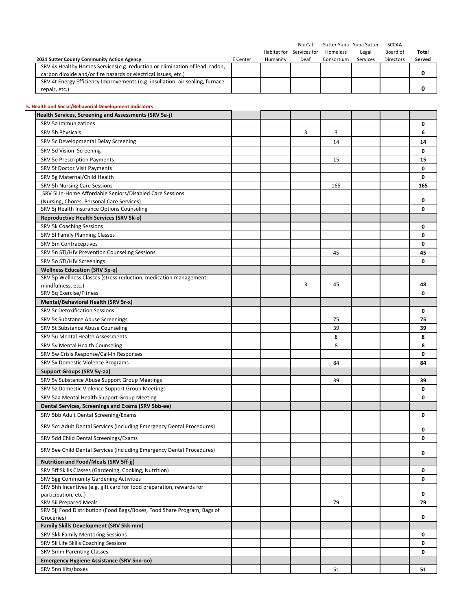|                                                                               |          |             | NorCal       | Sutter Yuba Yuba Sutter |          | SCCAA            |              |
|-------------------------------------------------------------------------------|----------|-------------|--------------|-------------------------|----------|------------------|--------------|
|                                                                               |          | Habitat for | Services for | Homeless                | Legal    | Board of         | <b>Total</b> |
| 2021 Sutter County Community Action Agency                                    | E Center | Humanity    | Deaf         | Consortium              | Services | <b>Directors</b> | Served       |
| SRV 4s Healthy Homes Services (e.g. reduction or elimination of lead, radon,  |          |             |              |                         |          |                  |              |
| carbon dioxide and/or fire hazards or electrical issues, etc.)                |          |             |              |                         |          |                  |              |
| SRV 4t Energy Efficiency Improvements (e.g. insullation, air sealing, furnace |          |             |              |                         |          |                  |              |
| repair, etc.)                                                                 |          |             |              |                         |          |                  |              |

### **5. Health and Social/Behavorial Development Indicators**

| Health Services, Screening and Assessments (SRV 5a-j)                                             |   |     |  |     |
|---------------------------------------------------------------------------------------------------|---|-----|--|-----|
| SRV 5a Immunizations                                                                              |   |     |  | 0   |
| SRV 5b Physicals                                                                                  | 3 | 3   |  | 6   |
| SRV 5c Developmental Delay Screening                                                              |   | 14  |  | 14  |
| SRV 5d Vision Screening                                                                           |   |     |  | 0   |
| <b>SRV 5e Prescription Payments</b>                                                               |   | 15  |  | 15  |
| SRV 5f Doctor Visit Payments                                                                      |   |     |  | 0   |
| SRV 5g Maternal/Child Health                                                                      |   |     |  | 0   |
| SRV 5h Nursing Care Sessions                                                                      |   | 165 |  | 165 |
| SRV 5i In-Home Affordable Seniors/Disabled Care Sessions                                          |   |     |  |     |
| (Nursing, Chores, Personal Care Services)                                                         |   |     |  | 0   |
| SRV 5j Health Insurance Options Counseling                                                        |   |     |  | 0   |
| Reproductive Health Services (SRV 5k-o)                                                           |   |     |  |     |
| SRV 5k Coaching Sessions                                                                          |   |     |  | 0   |
| SRV 5I Family Planning Classes                                                                    |   |     |  | 0   |
| SRV 5m Contraceptives                                                                             |   |     |  | 0   |
| SRV 5n STI/HIV Prevention Counseling Sessions                                                     |   | 45  |  | 45  |
| SRV 5o STI/HIV Screenings                                                                         |   |     |  | 0   |
| <b>Wellness Education (SRV 5p-q)</b>                                                              |   |     |  |     |
| SRV 5p Wellness Classes (stress reduction, medication management,                                 |   |     |  |     |
| mindfulness, etc.)                                                                                | 3 | 45  |  | 48  |
| SRV 5q Exercise/Fitness                                                                           |   |     |  | 0   |
| Mental/Behavioral Health (SRV 5r-x)                                                               |   |     |  |     |
| <b>SRV 5r Detoxification Sessions</b>                                                             |   |     |  | 0   |
| SRV 5s Substance Abuse Screenings                                                                 |   | 75  |  | 75  |
| SRV 5t Substance Abuse Counseling                                                                 |   | 39  |  | 39  |
| SRV 5u Mental Health Assessments                                                                  |   | 8   |  | 8   |
| SRV 5v Mental Health Counseling                                                                   |   | 8   |  | 8   |
| SRV 5w Crisis Response/Call-In Responses                                                          |   |     |  | 0   |
| SRV 5x Domestic Violence Programs                                                                 |   | 84  |  | 84  |
| Support Groups (SRV 5y-aa)                                                                        |   |     |  |     |
| SRV 5y Substance Abuse Support Group Meetings                                                     |   | 39  |  | 39  |
| SRV 5z Domestic Violence Support Group Meetings                                                   |   |     |  | 0   |
| SRV 5aa Mental Health Support Group Meeting                                                       |   |     |  | 0   |
| Dental Services, Screenings and Exams (SRV 5bb-ee)                                                |   |     |  |     |
| SRV 5bb Adult Dental Screening/Exams                                                              |   |     |  | 0   |
| SRV 5cc Adult Dental Services (including Emergency Dental Procedures)                             |   |     |  | 0   |
| SRV 5dd Child Dental Screenings/Exams                                                             |   |     |  | 0   |
| SRV 5ee Child Dental Services (including Emergency Dental Procedures)                             |   |     |  | 0   |
| <b>Nutrition and Food/Meals (SRV 5ff-jj)</b>                                                      |   |     |  |     |
| SRV 5ff Skills Classes (Gardening, Cooking, Nutrition)                                            |   |     |  | 0   |
| SRV 5gg Community Gardening Activities                                                            |   |     |  | 0   |
| SRV 5hh Incentives (e.g. gift card for food preparation, rewards for                              |   |     |  |     |
| participation, etc.)                                                                              |   |     |  | 0   |
| SRV 5ii Prepared Meals<br>SRV 5jj Food Distribution (Food Bags/Boxes, Food Share Program, Bags of |   | 79  |  | 79  |
| Groceries)                                                                                        |   |     |  | 0   |
| Family Skills Development (SRV 5kk-mm)                                                            |   |     |  |     |
| SRV 5kk Family Mentoring Sessions                                                                 |   |     |  | 0   |
| SRV 5II Life Skills Coaching Sessions                                                             |   |     |  | 0   |
| SRV 5mm Parenting Classes                                                                         |   |     |  | 0   |
| <b>Emergency Hygiene Assistance (SRV 5nn-oo)</b>                                                  |   |     |  |     |
| SRV 5nn Kits/boxes                                                                                |   | 51  |  | 51  |
|                                                                                                   |   |     |  |     |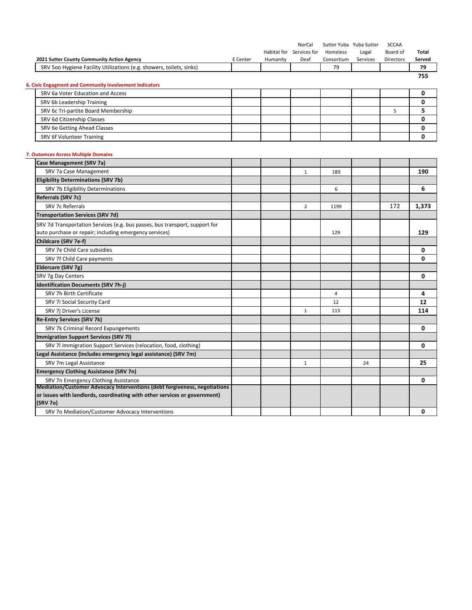|                                                                                                                   |          |          | NorCal<br>Habitat for Services for | Homeless       | Sutter Yuba Yuba Sutter<br>Legal | <b>SCCAA</b><br>Board of | Total        |
|-------------------------------------------------------------------------------------------------------------------|----------|----------|------------------------------------|----------------|----------------------------------|--------------------------|--------------|
| 2021 Sutter County Community Action Agency                                                                        | E Center | Humanity | Deaf                               | Consortium     | Services                         | Directors                | Served       |
| SRV 500 Hygiene Facility Utilizations (e.g. showers, toilets, sinks)                                              |          |          |                                    | 79             |                                  |                          | 79<br>755    |
| 6. Civic Engagment and Community Involvement Indicators                                                           |          |          |                                    |                |                                  |                          |              |
| SRV 6a Voter Education and Access                                                                                 |          |          |                                    |                |                                  |                          | 0            |
| SRV 6b Leadership Training                                                                                        |          |          |                                    |                |                                  |                          | 0            |
| SRV 6c Tri-partite Board Membership                                                                               |          |          |                                    |                |                                  | 5                        | 5            |
| SRV 6d Citizenship Classes                                                                                        |          |          |                                    |                |                                  |                          | $\mathbf{0}$ |
| SRV 6e Getting Ahead Classes                                                                                      |          |          |                                    |                |                                  |                          | 0            |
| SRV 6f Volunteer Training                                                                                         |          |          |                                    |                |                                  |                          | 0            |
|                                                                                                                   |          |          |                                    |                |                                  |                          |              |
| 7. Outomces Across Multiple Domains<br>Case Management (SRV 7a)                                                   |          |          |                                    |                |                                  |                          |              |
| SRV 7a Case Management                                                                                            |          |          | 1                                  | 189            |                                  |                          | 190          |
| <b>Eligibility Determinations (SRV 7b)</b>                                                                        |          |          |                                    |                |                                  |                          |              |
| SRV 7b Eligibility Determinations                                                                                 |          |          |                                    | 6              |                                  |                          | 6            |
| Referrals (SRV 7c)                                                                                                |          |          |                                    |                |                                  |                          |              |
| SRV 7c Referrals                                                                                                  |          |          | $\overline{2}$                     | 1199           |                                  | 172                      | 1,373        |
| <b>Transportation Services (SRV 7d)</b>                                                                           |          |          |                                    |                |                                  |                          |              |
| SRV 7d Transportation Services (e.g. bus passes, bus transport, support for                                       |          |          |                                    |                |                                  |                          |              |
| auto purchase or repair; including emergency services)                                                            |          |          |                                    | 129            |                                  |                          | 129          |
| Childcare (SRV 7e-f)                                                                                              |          |          |                                    |                |                                  |                          |              |
| SRV 7e Child Care subsidies                                                                                       |          |          |                                    |                |                                  |                          | 0            |
| SRV 7f Child Care payments                                                                                        |          |          |                                    |                |                                  |                          | 0            |
| Eldercare (SRV 7g)                                                                                                |          |          |                                    |                |                                  |                          |              |
| SRV 7g Day Centers                                                                                                |          |          |                                    |                |                                  |                          | 0            |
| <b>Identification Documents (SRV 7h-j)</b>                                                                        |          |          |                                    |                |                                  |                          |              |
| SRV 7h Birth Certificate                                                                                          |          |          |                                    | $\overline{4}$ |                                  |                          | 4            |
| SRV 7i Social Security Card                                                                                       |          |          |                                    | 12             |                                  |                          | 12           |
| SRV 7j Driver's License                                                                                           |          |          | $\mathbf{1}$                       | 113            |                                  |                          | 114          |
| <b>Re-Entry Services (SRV 7k)</b>                                                                                 |          |          |                                    |                |                                  |                          |              |
| SRV 7k Criminal Record Expungements                                                                               |          |          |                                    |                |                                  |                          | 0            |
| <b>Immigration Support Services (SRV 7I)</b>                                                                      |          |          |                                    |                |                                  |                          |              |
| SRV 7I Immigration Support Services (relocation, food, clothing)                                                  |          |          |                                    |                |                                  |                          | 0            |
| Legal Assistance (includes emergency legal assistance) (SRV 7m)                                                   |          |          |                                    |                |                                  |                          |              |
| SRV 7m Legal Assistance                                                                                           |          |          | $\mathbf{1}$                       |                | 24                               |                          | 25           |
| <b>Emergency Clothing Assistance (SRV 7n)</b>                                                                     |          |          |                                    |                |                                  |                          |              |
| SRV 7n Emergency Clothing Assistance<br>Mediation/Customer Advocacy Interventions (debt forgiveness, negotiations |          |          |                                    |                |                                  |                          | 0            |
| or issues with landlords, coordinating with other services or government)<br>(SRV 7o)                             |          |          |                                    |                |                                  |                          |              |
| SRV 7o Mediation/Customer Advocacy Interventions                                                                  |          |          |                                    |                |                                  |                          | 0            |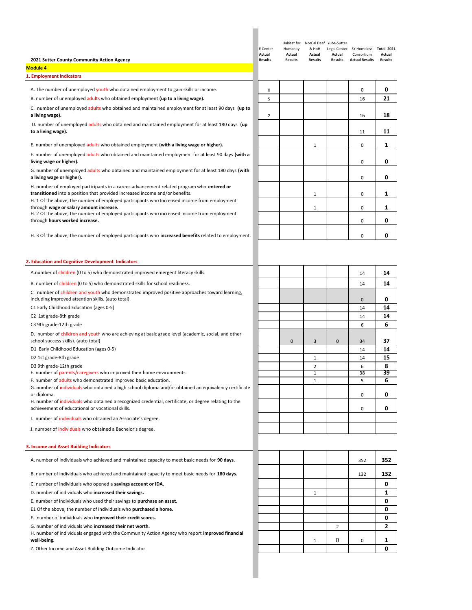| 2021 Sutter County Community Action Agency<br><b>Module 4</b>                                                                                                             | E Center<br>Actual<br><b>Results</b> | Humanity<br>Actual<br>Results | Habitat for NorCal Deaf Yuba-Sutter<br>& HoH<br>Actual<br><b>Results</b> | Actual<br>Results | Legal Center SY Homeless Total 2021<br>Consortium<br><b>Actual Results</b> | Actual<br><b>Results</b> |
|---------------------------------------------------------------------------------------------------------------------------------------------------------------------------|--------------------------------------|-------------------------------|--------------------------------------------------------------------------|-------------------|----------------------------------------------------------------------------|--------------------------|
| 1. Employment Indicators                                                                                                                                                  |                                      |                               |                                                                          |                   |                                                                            |                          |
| A. The number of unemployed youth who obtained employment to gain skills or income.                                                                                       | 0                                    |                               |                                                                          |                   | 0                                                                          | 0                        |
| B. number of unemployed adults who obtained employment (up to a living wage).                                                                                             | 5                                    |                               |                                                                          |                   | 16                                                                         | 21                       |
| C. number of unemployed adults who obtained and maintained employment for at least 90 days (up to<br>a living wage).                                                      | $\overline{2}$                       |                               |                                                                          |                   | 16                                                                         | 18                       |
| D. number of unemployed adults who obtained and maintained employment for at least 180 days (up<br>to a living wage).                                                     |                                      |                               |                                                                          |                   | 11                                                                         | 11                       |
| E. number of unemployed adults who obtained employment (with a living wage or higher).                                                                                    |                                      |                               | $\mathbf{1}$                                                             |                   | 0                                                                          | 1                        |
| F. number of unemployed adults who obtained and maintained employment for at least 90 days (with a<br>living wage or higher).                                             |                                      |                               |                                                                          |                   | 0                                                                          | 0                        |
| G. number of unemployed adults who obtained and maintained employment for at least 180 days (with<br>a living wage or higher).                                            |                                      |                               |                                                                          |                   | 0                                                                          | 0                        |
| H. number of employed participants in a career-advancement related program who entered or<br>transitioned into a position that provided increased income and/or benefits. |                                      |                               | $\mathbf 1$                                                              |                   | 0                                                                          | 1                        |
| H. 1 Of the above, the number of employed participants who Increased income from employment<br>through wage or salary amount increase.                                    |                                      |                               | $\mathbf 1$                                                              |                   | $\mathbf 0$                                                                | 1                        |
| H. 2 Of the above, the number of employed participants who increased income from employment<br>through hours worked increase.                                             |                                      |                               |                                                                          |                   | 0                                                                          | 0                        |
| H. 3 Of the above, the number of employed participants who <b>increased benefits</b> related to employment.                                                               |                                      |                               |                                                                          |                   | 0                                                                          | 0                        |
| 2. Education and Cognitive Development Indicators                                                                                                                         |                                      |                               |                                                                          |                   |                                                                            |                          |
| A.number of children (0 to 5) who demonstrated improved emergent literacy skills.                                                                                         |                                      |                               |                                                                          |                   | 14                                                                         | 14                       |
| B. number of children (0 to 5) who demonstrated skills for school readiness.                                                                                              |                                      |                               |                                                                          |                   | 14                                                                         | 14                       |
| C. number of children and youth who demonstrated improved positive approaches toward learning,<br>including improved attention skills. (auto total).                      |                                      |                               |                                                                          |                   | $\pmb{0}$                                                                  | 0                        |
| C1 Early Childhood Education (ages 0-5)                                                                                                                                   |                                      |                               |                                                                          |                   | 14                                                                         | 14                       |
| C2 1st grade-8th grade                                                                                                                                                    |                                      |                               |                                                                          |                   | 14                                                                         | 14                       |
| C3 9th grade-12th grade                                                                                                                                                   |                                      |                               |                                                                          |                   | 6                                                                          | 6                        |
| D. number of children and youth who are achieving at basic grade level (academic, social, and other<br>school success skills). (auto total)                               |                                      | 0                             | 3                                                                        | $\mathbf 0$       | 34                                                                         | 37                       |
| D1 Early Childhood Education (ages 0-5)                                                                                                                                   |                                      |                               |                                                                          |                   | 14                                                                         | 14                       |
| D2 1st grade-8th grade                                                                                                                                                    |                                      |                               | $\mathbf{1}$                                                             |                   | 14                                                                         | 15                       |
| D3 9th grade-12th grade<br>E. number of parents/caregivers who improved their home environments.                                                                          |                                      |                               | $\overline{2}$<br>1                                                      |                   | 6<br>38                                                                    | 8<br>39                  |
| F. number of adults who demonstrated improved basic education.                                                                                                            |                                      |                               | $\mathbf{1}$                                                             |                   | 5                                                                          | 6                        |
| G. number of individuals who obtained a high school diploma and/or obtained an equivalency certificate                                                                    |                                      |                               |                                                                          |                   |                                                                            |                          |
| or diploma.<br>H. number of individuals who obtained a recognized credential, certificate, or degree relating to the<br>achievement of educational or vocational skills.  |                                      |                               |                                                                          |                   | 0<br>0                                                                     | 0<br>0                   |
| I. number of individuals who obtained an Associate's degree.                                                                                                              |                                      |                               |                                                                          |                   |                                                                            |                          |
| J. number of individuals who obtained a Bachelor's degree.                                                                                                                |                                      |                               |                                                                          |                   |                                                                            |                          |
| 3. Income and Asset Building Indicators                                                                                                                                   |                                      |                               |                                                                          |                   |                                                                            |                          |
| A. number of individuals who achieved and maintained capacity to meet basic needs for 90 days.                                                                            |                                      |                               |                                                                          |                   | 352                                                                        | 352                      |
| B. number of individuals who achieved and maintained capacity to meet basic needs for 180 days.                                                                           |                                      |                               |                                                                          |                   | 132                                                                        | 132                      |
| C. number of individuals who opened a savings account or IDA.                                                                                                             |                                      |                               |                                                                          |                   |                                                                            | 0                        |
| D. number of individuals who increased their savings.<br>E. number of individuals who used their savings to purchase an asset.                                            |                                      |                               | $\mathbf{1}$                                                             |                   |                                                                            | 1<br>0                   |
| E1 Of the above, the number of individuals who purchased a home.                                                                                                          |                                      |                               |                                                                          |                   |                                                                            | 0                        |
| F. number of individuals who improved their credit scores.                                                                                                                |                                      |                               |                                                                          |                   |                                                                            | 0                        |
| G. number of individuals who increased their net worth.                                                                                                                   |                                      |                               |                                                                          | 2                 |                                                                            | 2                        |
| H. number of individuals engaged with the Community Action Agency who report improved financial<br>well-being.                                                            |                                      |                               | 1                                                                        | 0                 | 0                                                                          | 1                        |
| Z. Other Income and Asset Building Outcome Indicator                                                                                                                      |                                      |                               |                                                                          |                   |                                                                            | 0                        |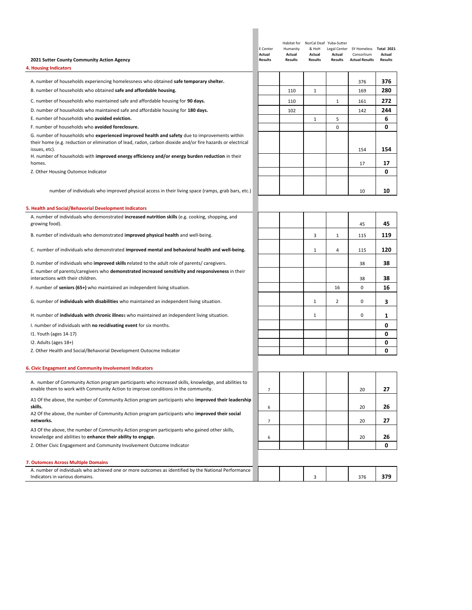| 2021 Sutter County Community Action Agency                                                                                                                                                                                   | E Center<br>Actual<br><b>Results</b> | Humanity<br>Actual<br><b>Results</b> | & HoH<br>Actual<br>Results | Habitat for NorCal Deaf Yuba-Sutter<br>Actual<br>Results | Legal Center SY Homeless Total 2021<br>Consortium<br><b>Actual Results</b> | Actual<br><b>Results</b> |
|------------------------------------------------------------------------------------------------------------------------------------------------------------------------------------------------------------------------------|--------------------------------------|--------------------------------------|----------------------------|----------------------------------------------------------|----------------------------------------------------------------------------|--------------------------|
| <b>4. Housing Indicators</b>                                                                                                                                                                                                 |                                      |                                      |                            |                                                          |                                                                            |                          |
| A. number of households experiencing homelessness who obtained safe temporary shelter.                                                                                                                                       |                                      |                                      |                            |                                                          | 376                                                                        | 376                      |
| B. number of households who obtained safe and affordable housing.                                                                                                                                                            |                                      | 110                                  | 1                          |                                                          | 169                                                                        | 280                      |
| C. number of households who maintained safe and affordable housing for 90 days.                                                                                                                                              |                                      | 110                                  |                            | 1                                                        | 161                                                                        | 272                      |
| D. number of households who maintained safe and affordable housing for 180 days.                                                                                                                                             |                                      | 102                                  |                            |                                                          | 142                                                                        | 244                      |
| E. number of households who avoided eviction.                                                                                                                                                                                |                                      |                                      | $\mathbf{1}$               | 5                                                        |                                                                            | 6                        |
| F. number of households who avoided foreclosure.                                                                                                                                                                             |                                      |                                      |                            | 0                                                        |                                                                            | 0                        |
| G. number of households who experienced improved health and safety due to improvements within<br>their home (e.g. reduction or elimination of lead, radon, carbon dioxide and/or fire hazards or electrical<br>issues, etc). |                                      |                                      |                            |                                                          | 154                                                                        | 154                      |
| H. number of households with <b>improved energy efficiency and/or energy burden reduction</b> in their<br>homes.                                                                                                             |                                      |                                      |                            |                                                          | 17                                                                         | 17                       |
| Z. Other Housing Outomce Indicator                                                                                                                                                                                           |                                      |                                      |                            |                                                          |                                                                            | 0                        |
|                                                                                                                                                                                                                              |                                      |                                      |                            |                                                          |                                                                            |                          |
| number of individuals who improved physical access in their living space (ramps, grab bars, etc.)                                                                                                                            |                                      |                                      |                            |                                                          | 10                                                                         | 10                       |
| 5. Health and Social/Behavorial Development Indicators                                                                                                                                                                       |                                      |                                      |                            |                                                          |                                                                            |                          |
| A. number of individuals who demonstrated increased nutrition skills (e.g. cooking, shopping, and<br>growing food).                                                                                                          |                                      |                                      |                            |                                                          | 45                                                                         | 45                       |
| B. number of individuals who demonstrated improved physical health and well-being.                                                                                                                                           |                                      |                                      | 3                          | 1                                                        | 115                                                                        | 119                      |
| C. number of individuals who demonstrated improved mental and behavioral health and well-being.                                                                                                                              |                                      |                                      | 1                          | 4                                                        | 115                                                                        | 120                      |
| D. number of individuals who improved skills related to the adult role of parents/ caregivers.                                                                                                                               |                                      |                                      |                            |                                                          | 38                                                                         | 38                       |
| E. number of parents/caregivers who demonstrated increased sensitivity and responsiveness in their                                                                                                                           |                                      |                                      |                            |                                                          |                                                                            |                          |
| interactions with their children.                                                                                                                                                                                            |                                      |                                      |                            |                                                          | 38                                                                         | 38                       |
| F. number of seniors (65+) who maintained an independent living situation.                                                                                                                                                   |                                      |                                      |                            | 16                                                       | 0                                                                          | 16                       |
| G. number of <i>individuals with disabilities</i> who maintained an independent living situation.                                                                                                                            |                                      |                                      | $\mathbf 1$                | 2                                                        | 0                                                                          | 3                        |
| H. number of individuals with chronic illness who maintained an independent living situation.                                                                                                                                |                                      |                                      | $\mathbf{1}$               |                                                          | 0                                                                          | 1                        |
| I. number of individuals with no recidivating event for six months.                                                                                                                                                          |                                      |                                      |                            |                                                          |                                                                            | 0                        |
| 11. Youth (ages 14-17)                                                                                                                                                                                                       |                                      |                                      |                            |                                                          |                                                                            | 0                        |
| 12. Adults (ages 18+)                                                                                                                                                                                                        |                                      |                                      |                            |                                                          |                                                                            | 0                        |
| Z. Other Health and Social/Behavorial Development Outocme Indicator                                                                                                                                                          |                                      |                                      |                            |                                                          |                                                                            | 0                        |
| 6. Civic Engagment and Community Involvement Indicators                                                                                                                                                                      |                                      |                                      |                            |                                                          |                                                                            |                          |
| A. number of Community Action program participants who increased skills, knowledge, and abilities to                                                                                                                         |                                      |                                      |                            |                                                          |                                                                            |                          |
| enable them to work with Community Action to improve conditions in the community.                                                                                                                                            | 7                                    |                                      |                            |                                                          | 20                                                                         | 27                       |
| A1 Of the above, the number of Community Action program participants who improved their leadership<br>skills.                                                                                                                |                                      |                                      |                            |                                                          |                                                                            | 26                       |
| A2 Of the above, the number of Community Action program participants who improved their social                                                                                                                               | 6                                    |                                      |                            |                                                          | 20                                                                         |                          |
| networks.                                                                                                                                                                                                                    | 7                                    |                                      |                            |                                                          | 20                                                                         | 27                       |
| A3 Of the above, the number of Community Action program participants who gained other skills,                                                                                                                                |                                      |                                      |                            |                                                          |                                                                            |                          |
| knowledge and abilities to enhance their ability to engage.                                                                                                                                                                  | 6                                    |                                      |                            |                                                          | 20                                                                         | 26                       |
| Z. Other Civic Engagement and Community Involvement Outcome Indicator                                                                                                                                                        |                                      |                                      |                            |                                                          |                                                                            | 0                        |
| 7. Outomces Across Multiple Domains                                                                                                                                                                                          |                                      |                                      |                            |                                                          |                                                                            |                          |
| A. number of individuals who achieved one or more outcomes as identified by the National Performance                                                                                                                         |                                      |                                      |                            |                                                          |                                                                            |                          |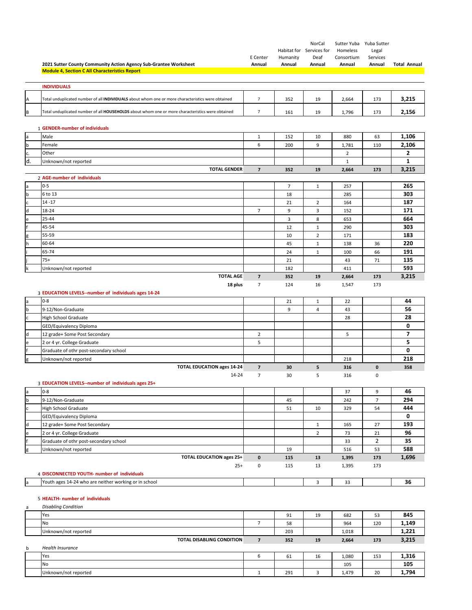|              | 2021 Sutter County Community Action Agency Sub-Grantee Worksheet                                  | E Center<br>Annual      | Humanity<br>Annual | NorCal<br>Habitat for Services for<br>Deaf<br>Annual | Homeless<br>Consortium<br>Annual | Sutter Yuba Yuba Sutter<br>Legal<br>Services<br>Annual | <b>Total Annual</b> |
|--------------|---------------------------------------------------------------------------------------------------|-------------------------|--------------------|------------------------------------------------------|----------------------------------|--------------------------------------------------------|---------------------|
|              | <b>Module 4, Section C All Characteristics Report</b>                                             |                         |                    |                                                      |                                  |                                                        |                     |
|              | <b>INDIVIDUALS</b>                                                                                |                         |                    |                                                      |                                  |                                                        |                     |
| Α            | Total unduplicated number of all INDIVIDUALS about whom one or more characteristics were obtained | $\overline{7}$          | 352                | 19                                                   | 2,664                            | 173                                                    | 3,215               |
| B            | Total unduplicated number of all HOUSEHOLDS about whom one or more characteristics were obtained  | 7                       | 161                | 19                                                   | 1,796                            | 173                                                    | 2,156               |
|              |                                                                                                   |                         |                    |                                                      |                                  |                                                        |                     |
|              | 1 GENDER-number of individuals                                                                    |                         |                    |                                                      |                                  |                                                        |                     |
| a            | Male                                                                                              | $\mathbf{1}$<br>6       | 152                | 10<br>9                                              | 880                              | 63                                                     | 1,106<br>2,106      |
| $\mathbf b$  | Female<br>Other                                                                                   |                         | 200                |                                                      | 1,781                            | 110                                                    | $\mathbf{2}$        |
| c.<br>d.     |                                                                                                   |                         |                    |                                                      | $\overline{2}$<br>$\mathbf{1}$   |                                                        | $\mathbf{1}$        |
|              | Unknown/not reported<br><b>TOTAL GENDER</b>                                                       | $\overline{\mathbf{z}}$ | 352                | 19                                                   | 2,664                            | 173                                                    | 3,215               |
|              | 2 AGE-number of individuals                                                                       |                         |                    |                                                      |                                  |                                                        |                     |
| a            | $0 - 5$                                                                                           |                         | $\overline{7}$     | $\mathbf{1}$                                         | 257                              |                                                        | 265                 |
| $\mathbf b$  | 6 to 13                                                                                           |                         | 18                 |                                                      | 285                              |                                                        | 303                 |
| $\mathsf{c}$ | $14 - 17$                                                                                         |                         | 21                 | $\overline{2}$                                       | 164                              |                                                        | 187                 |
| $\sf d$      | 18-24                                                                                             | 7                       | 9                  | 3                                                    | 152                              |                                                        | 171                 |
| e            | 25-44                                                                                             |                         | 3                  | 8                                                    | 653                              |                                                        | 664                 |
|              | 45-54                                                                                             |                         | 12                 | $\mathbf{1}$                                         | 290                              |                                                        | 303                 |
|              | 55-59                                                                                             |                         | 10                 | $\overline{2}$                                       | 171                              |                                                        | 183                 |
| h            | 60-64                                                                                             |                         | 45                 | $\mathbf{1}$                                         | 138                              | 36                                                     | 220                 |
|              | 65-74                                                                                             |                         | 24                 | $\mathbf{1}$                                         | 100                              | 66                                                     | 191                 |
|              | $75+$                                                                                             |                         | 21                 |                                                      | 43                               | 71                                                     | 135                 |
|              | Unknown/not reported                                                                              |                         | 182                |                                                      | 411                              |                                                        | 593                 |
|              | <b>TOTAL AGE</b>                                                                                  | $\overline{\mathbf{z}}$ | 352                | 19                                                   | 2,664                            | 173                                                    | 3,215               |
|              | 18 plus                                                                                           | $\overline{7}$          | 124                | 16                                                   | 1,547                            | 173                                                    |                     |
|              | 3 EDUCATION LEVELS--number of individuals ages 14-24                                              |                         |                    |                                                      |                                  |                                                        |                     |
| a            | $0 - 8$                                                                                           |                         | 21                 | $\mathbf{1}$                                         | 22                               |                                                        | 44                  |
| $\mathbf b$  | 9-12/Non-Graduate                                                                                 |                         | 9                  | 4                                                    | 43                               |                                                        | 56                  |
| $\mathsf{c}$ | <b>High School Graduate</b>                                                                       |                         |                    |                                                      | 28                               |                                                        | 28                  |
|              | GED/Equivalency Diploma                                                                           |                         |                    |                                                      |                                  |                                                        | 0                   |
| $\sf d$      | 12 grade+ Some Post Secondary                                                                     | 2                       |                    |                                                      | 5                                |                                                        | $\overline{7}$      |
| e            | 2 or 4 yr. College Graduate                                                                       | 5                       |                    |                                                      |                                  |                                                        | 5                   |
|              | Graduate of othr post-secondary school                                                            |                         |                    |                                                      |                                  |                                                        | 0                   |
|              | Unknown/not reported                                                                              |                         |                    |                                                      | 218                              |                                                        | 218                 |
| g            | <b>TOTAL EDUCATION ages 14-24</b>                                                                 | $\overline{\mathbf{z}}$ | 30                 | 5                                                    | 316                              | $\mathbf 0$                                            | 358                 |
|              | 14-24                                                                                             | $\overline{7}$          | 30                 | 5                                                    | 316                              | 0                                                      |                     |
|              | 3 EDUCATION LEVELS--number of individuals ages 25+                                                |                         |                    |                                                      |                                  |                                                        |                     |
| a            | $0 - 8$                                                                                           |                         |                    |                                                      | 37                               | 9                                                      | 46                  |
| $\sf b$      | 9-12/Non-Graduate                                                                                 |                         | 45                 |                                                      | 242                              | $\overline{7}$                                         | 294                 |
| c            | High School Graduate                                                                              |                         | 51                 | 10                                                   | 329                              | 54                                                     | 444                 |
|              | GED/Equivalency Diploma                                                                           |                         |                    |                                                      |                                  |                                                        | 0                   |
| d            | 12 grade+ Some Post Secondary                                                                     |                         |                    | 1                                                    | 165                              | 27                                                     | 193                 |
| e            | 2 or 4 yr. College Graduate                                                                       |                         |                    | $\overline{2}$                                       | 73                               | 21                                                     | 96                  |
|              | Graduate of othr post-secondary school                                                            |                         |                    |                                                      | 33                               | 2                                                      | 35                  |
| g            | Unknown/not reported                                                                              |                         | 19                 |                                                      | 516                              | 53                                                     | 588                 |
|              | <b>TOTAL EDUCATION ages 25+</b><br>$25+$                                                          | $\mathbf 0$<br>0        | 115<br>115         | 13<br>13                                             | 1,395<br>1,395                   | 173<br>173                                             | 1,696               |
|              | 4 DISCONNECTED YOUTH- number of individuals                                                       |                         |                    |                                                      |                                  |                                                        |                     |
| a            | Youth ages 14-24 who are neither working or in school                                             |                         |                    | 3                                                    | 33                               |                                                        | 36                  |
| a            | 5 HEALTH- number of individuals<br><b>Disabling Condition</b>                                     |                         |                    |                                                      |                                  |                                                        |                     |
|              | Yes                                                                                               |                         | 91                 | 19                                                   | 682                              | 53                                                     | 845                 |
|              | No                                                                                                | 7                       | 58                 |                                                      | 964                              | 120                                                    | 1,149               |
|              | Unknown/not reported                                                                              |                         | 203                |                                                      | 1,018                            |                                                        | 1,221               |
|              | TOTAL DISABLING CONDITION                                                                         | $\overline{\mathbf{z}}$ | 352                | 19                                                   | 2,664                            | 173                                                    | 3,215               |
| b            | Health Insurance<br>Yes                                                                           | 6                       | 61                 | 16                                                   | 1,080                            | 153                                                    | 1,316               |

No 105 **105 105 106** Unknown/not reported **1** 291 3 1,479 20 **1,794**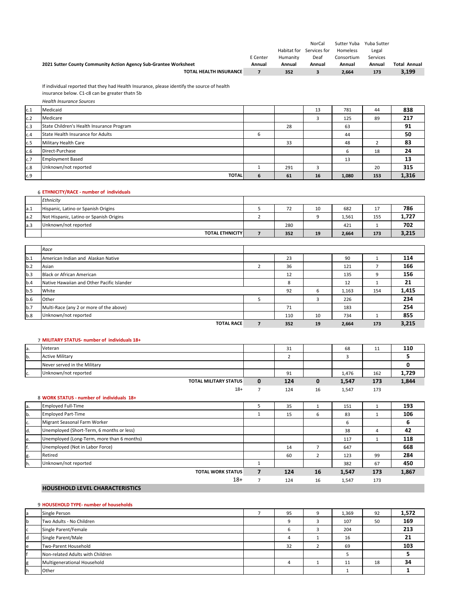|                                                                  |          |             | NorCal       | Sutter Yuba | Yuba Sutter |                     |
|------------------------------------------------------------------|----------|-------------|--------------|-------------|-------------|---------------------|
|                                                                  |          | Habitat for | Services for | Homeless    | Legal       |                     |
|                                                                  | E Center | Humanity    | Deaf         | Consortium  | Services    |                     |
| 2021 Sutter County Community Action Agency Sub-Grantee Worksheet | Annual   | Annual      | Annual       | Annual      | Annual      | <b>Total Annual</b> |
| <b>TOTAL HEALTH INSURANCE</b>                                    |          | 352         |              | 2.664       | 173         | 3,199               |

If individual reported that they had Health Insurance, please identify the source of health insurance below. C1‐c8 can be greater thatn 5b

|     | <b>Health Insurance Sources</b>           |   |     |    |       |     |       |
|-----|-------------------------------------------|---|-----|----|-------|-----|-------|
| c.1 | Medicaid                                  |   |     | 13 | 781   | 44  | 838   |
| c.2 | Medicare                                  |   |     |    | 125   | 89  | 217   |
| c.3 | State Children's Health Insurance Program |   | 28  |    | 63    |     | 91    |
| c.4 | State Health Insurance for Adults         | 6 |     |    | 44    |     | 50    |
| c.5 | Military Health Care                      |   | 33  |    | 48    |     | 83    |
| c.6 | Direct-Purchase                           |   |     |    | b     | 18  | 24    |
| c.7 | <b>Employment Based</b>                   |   |     |    | 13    |     | 13    |
| c.8 | Unknown/not reported                      |   | 291 |    |       | 20  | 315   |
| c.9 | <b>TOTAL</b>                              | 6 | 61  | 16 | 1,080 | 153 | 1,316 |

#### 6 **ETHNICITY/RACE ‐ number of individuals**

|      | Ethnicity                               |          |    |       |          |       |
|------|-----------------------------------------|----------|----|-------|----------|-------|
| a.1  | Hispanic, Latino or Spanish Origins     | <u>.</u> | 10 | 682   | <b>.</b> | 786   |
| a.2  | Not Hispanic, Latino or Spanish Origins |          |    | 1,561 | 155      | 1,727 |
| la.3 | Unknown/not reported                    | 280      |    | 421   |          | 702   |
|      | <b>TOTAL ETHNICITY</b>                  | 352      | 19 | 2,664 | 173      | 3,215 |

|     | Race                                       |     |    |       |     |       |
|-----|--------------------------------------------|-----|----|-------|-----|-------|
| b.1 | American Indian and Alaskan Native         | 23  |    | 90    |     | 114   |
| b.2 | Asian                                      | 36  |    | 121   |     | 166   |
| b.3 | Black or African American                  | 12  |    | 135   | -9  | 156   |
| b.4 | Native Hawaiian and Other Pacific Islander | 8   |    | 12    |     | 21    |
| b.5 | White                                      | 92  | 6  | 1,163 | 154 | 1,415 |
| b.6 | Other                                      |     |    | 226   |     | 234   |
| b.7 | Multi-Race (any 2 or more of the above)    | 71  |    | 183   |     | 254   |
| b.8 | Unknown/not reported                       | 110 | 10 | 734   |     | 855   |
|     | <b>TOTAL RACE</b>                          | 352 | 19 | 2,664 | 173 | 3,215 |

|     | 7 MILITARY STATUS- number of individuals 18+ |                              |   |     |    |       |     |       |
|-----|----------------------------------------------|------------------------------|---|-----|----|-------|-----|-------|
| la. | Veteran                                      |                              |   | 31  |    | 68    | 11  | 110   |
| lb. | <b>Active Military</b>                       |                              |   |     |    |       |     |       |
|     | Never served in the Military                 |                              |   |     |    |       |     |       |
| c.  | Unknown/not reported                         |                              |   | 91  |    | 1,476 | 162 | 1,729 |
|     |                                              | <b>TOTAL MILITARY STATUS</b> | 0 | 124 | 0  | 1,547 | 173 | 1,844 |
|     |                                              | $18+$                        |   | 124 | 16 | 1,547 | 173 |       |
|     | 8 WORK STATUS - number of individuals 18+    |                              |   |     |    |       |     |       |

| la. | <b>Employed Full-Time</b>                  | 35  |    | 151   |     | 193   |
|-----|--------------------------------------------|-----|----|-------|-----|-------|
| b.  | <b>Employed Part-Time</b>                  | 15  | b  | 83    |     | 106   |
| c.  | Migrant Seasonal Farm Worker               |     |    | ь     |     | 6     |
| d.  | Unemployed (Short-Term, 6 months or less)  |     |    | 38    | 4   | 42    |
| le. | Unemployed (Long-Term, more than 6 months) |     |    | 117   |     | 118   |
| f.  | Unemployed (Not in Labor Force)            | 14  |    | 647   |     | 668   |
| g.  | Retired                                    | 60  |    | 123   | 99  | 284   |
| h.  | Unknown/not reported                       |     |    | 382   | 67  | 450   |
|     | <b>TOTAL WORK STATUS</b>                   | 124 | 16 | 1,547 | 173 | 1,867 |
|     | $18+$                                      | 124 | 16 | 1,547 | 173 |       |

### **HOUSEHOLD LEVEL CHARACTERISTICS**

#### 9 **HOUSEHOLD TYPE‐ number of households**

| a  | Single Person                    | 95 | $\Omega$ | 1,369 | 92 | 1,572 |
|----|----------------------------------|----|----------|-------|----|-------|
| ۱b | Two Adults - No Children         |    |          | 107   | 50 | 169   |
| c  | Single Parent/Female             |    |          | 204   |    | 213   |
| d  | Single Parent/Male               |    |          | 16    |    | 21    |
| e  | Two-Parent Household             | 32 |          | 69    |    | 103   |
|    | Non-related Adults with Children |    |          |       |    |       |
| g  | Multigenerational Household      |    |          | 11    | 18 | 34    |
|    | Other                            |    |          |       |    |       |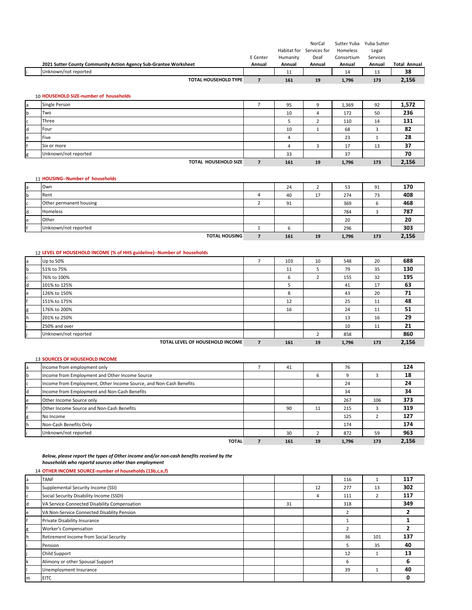|    |                                                                  | E Center | Habitat for<br>Humanity | <b>NorCal</b><br>Services for<br>Deaf | Sutter Yuba<br>Homeless<br>Consortium | Yuba Sutter<br>Legal<br>Services |                     |
|----|------------------------------------------------------------------|----------|-------------------------|---------------------------------------|---------------------------------------|----------------------------------|---------------------|
|    | 2021 Sutter County Community Action Agency Sub-Grantee Worksheet | Annual   | Annual                  | Annual                                | Annual                                | Annual                           | <b>Total Annual</b> |
|    | Unknown/not reported                                             |          | 11                      |                                       | 14                                    | 13                               | 38                  |
|    | <b>TOTAL HOUSEHOLD TYPE</b>                                      |          | 161                     | 19                                    | 1,796                                 | 173                              | 2,156               |
|    | 10 HOUSEHOLD SIZE-number of households                           |          |                         |                                       |                                       |                                  |                     |
| la | <b>Single Person</b>                                             |          | 95                      | 9                                     | 1,369                                 | 92                               | 1,572               |

| <b>b</b> | Two                         | 10  |    | 172   | 50  | 236   |
|----------|-----------------------------|-----|----|-------|-----|-------|
| c        | <b>Three</b>                |     |    | 110   | 14  | 131   |
| ld.      | Four                        | 10  |    | 68    |     | 82    |
| le       | <b>Five</b>                 |     |    | 23    |     | 28    |
|          | Six or more                 |     |    | 17    | 13  | 37    |
| g        | Unknown/not reported        | 33  |    | 37    |     | 70    |
|          | <b>TOTAL HOUSEHOLD SIZE</b> | 161 | 19 | 1,796 | 173 | 2,156 |

#### 11 **HOUSING‐‐Number of households**

| Own                     | 24  |                       | 53    | 91  | 170   |
|-------------------------|-----|-----------------------|-------|-----|-------|
| Rent                    | 40  | $\overline{ }$<br>д., | 274   | 73  | 408   |
| Other permanent housing | 91  |                       | 369   | ь   | 468   |
| Homeless                |     |                       | 784   |     | 787   |
| Other                   |     |                       | 20    |     | 20    |
| Unknown/not reported    |     |                       | 296   |     | 303   |
| <b>TOTAL HOUSING</b>    | 161 | 19                    | 1,796 | 173 | 2,156 |

# 12 **LEVEL OF HOUSEHOLD INCOME (% of HHS guideline)‐‐Number of households**

| a  | Up to 50%                       | <u>т</u>       | 103 | 10 | 548   | 20  | 688   |
|----|---------------------------------|----------------|-----|----|-------|-----|-------|
| b  | 51% to 75%                      |                | 11  | ь  | 79    | 35  | 130   |
| c  | 76% to 100%                     |                | 6   |    | 155   | 32  | 195   |
| d  | 101% to 125%                    |                | D.  |    | 41    | 17  | 63    |
| e  | 126% to 150%                    |                | 8   |    | 43    | 20  | 71    |
|    | 151% to 175%                    |                | 12  |    | 25    | 11  | 48    |
| g  | 176% to 200%                    |                | 16  |    | 24    | 11  | 51    |
| h. | 201% to 250%                    |                |     |    | 13    | 16  | 29    |
|    | 250% and over                   |                |     |    | 10    | 11  | 21    |
|    | Unknown/not reported            |                |     |    | 858   |     | 860   |
|    | TOTAL LEVEL OF HOUSEHOLD INCOME | $\overline{7}$ | 161 | 19 | 1,796 | 173 | 2,156 |

#### 13 **SOURCES OF HOUSEHOLD INCOME**

| a | Income from employment only                                        | 41  |    | 76    |     | 124   |
|---|--------------------------------------------------------------------|-----|----|-------|-----|-------|
| b | Income from Employment and Other Income Source                     |     | 6  | 9     | 3   | 18    |
| c | Income from Employment, Other Income Source, and Non-Cash Benefits |     |    | 24    |     | 24    |
| d | Income from Employment and Non-Cash Benefits                       |     |    | 34    |     | 34    |
| e | Other Income Source only                                           |     |    | 267   | 106 | 373   |
|   | <b>Other Income Source and Non-Cash Benefits</b>                   | 90  | 11 | 215   | в   | 319   |
| g | No Income                                                          |     |    | 125   |     | 127   |
| h | Non-Cash Benefits Only                                             |     |    | 174   |     | 174   |
|   | Unknown/not reported                                               | 30  |    | 872   | 59  | 963   |
|   | <b>TOTAL</b>                                                       | 161 | 19 | 1,796 | 173 | 2,156 |

*Below, please report the types of Other income and/or non‐cash benefits received by the households who reportd sources other than employment*

#### 14 **OTHER INCOME SOURCE‐number of households (13b,c,e,f)**

| a        | <b>TANF</b>                                  |    |    | 116            |     | 117 |
|----------|----------------------------------------------|----|----|----------------|-----|-----|
| <b>b</b> | Supplemental Security Income (SSI)           |    | 12 | 277            | 13  | 302 |
| C        | Social Security Disability Income (SSDI)     |    | 4  | 111            | 2   | 117 |
| d        | VA Service-Connected Disability Compensation | 31 |    | 318            |     | 349 |
| e        | VA Non-Service Connected Disablity Pension   |    |    | $\overline{2}$ |     |     |
|          | Private Disability Insurance                 |    |    |                |     |     |
| g        | Worker's Compensation                        |    |    | $\overline{2}$ |     |     |
| lh.      | Retirement Income from Social Security       |    |    | 36             | 101 | 137 |
|          | Pension                                      |    |    | 5              | 35  | 40  |
|          | Child Support                                |    |    | 12             |     | 13  |
| Ιk       | Alimony or other Spousal Support             |    |    | 6              |     | 6   |
|          | Unemployment Insurance                       |    |    | 39             |     | 40  |
| m        | <b>EITC</b>                                  |    |    |                |     |     |